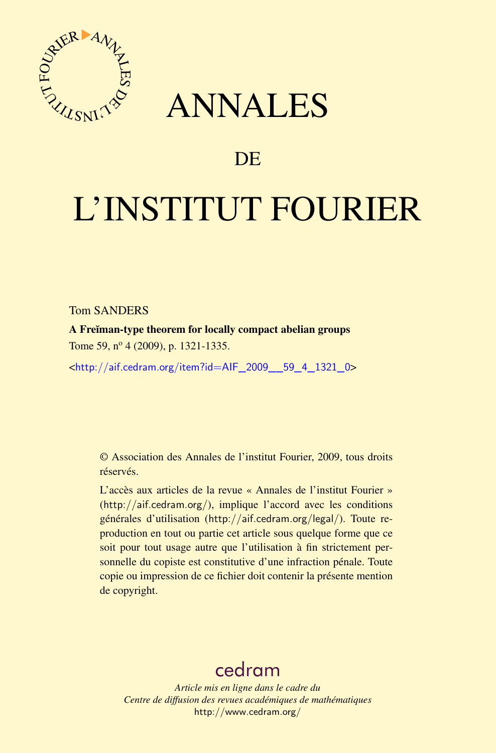

## ANNALES

## **DE**

# L'INSTITUT FOURIER

Tom SANDERS

A Freĭman-type theorem for locally compact abelian groups Tome 59, nº 4 (2009), p. 1321-1335.

<[http://aif.cedram.org/item?id=AIF\\_2009\\_\\_59\\_4\\_1321\\_0](http://aif.cedram.org/item?id=AIF_2009__59_4_1321_0)>

© Association des Annales de l'institut Fourier, 2009, tous droits réservés.

L'accès aux articles de la revue « Annales de l'institut Fourier » (<http://aif.cedram.org/>), implique l'accord avec les conditions générales d'utilisation (<http://aif.cedram.org/legal/>). Toute reproduction en tout ou partie cet article sous quelque forme que ce soit pour tout usage autre que l'utilisation à fin strictement personnelle du copiste est constitutive d'une infraction pénale. Toute copie ou impression de ce fichier doit contenir la présente mention de copyright.

## [cedram](http://www.cedram.org/)

*Article mis en ligne dans le cadre du Centre de diffusion des revues académiques de mathématiques* <http://www.cedram.org/>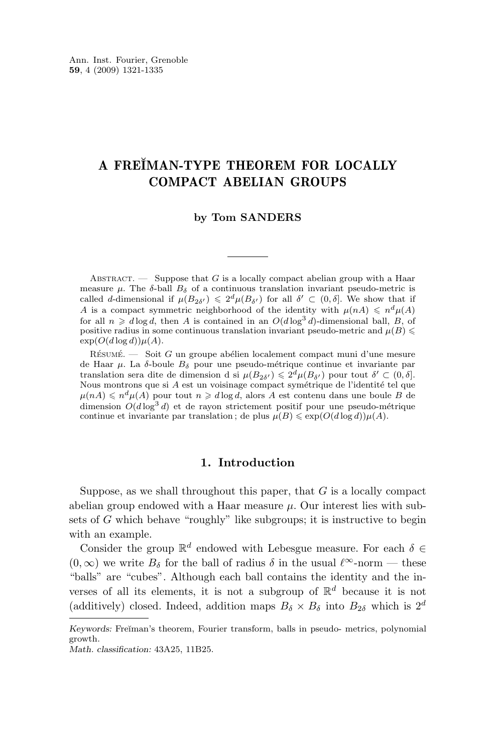### A FREĬMAN-TYPE THEOREM FOR LOCALLY COMPACT ABELIAN GROUPS

#### **by Tom SANDERS**

ABSTRACT. — Suppose that G is a locally compact abelian group with a Haar measure  $\mu$ . The  $\delta$ -ball  $B_{\delta}$  of a continuous translation invariant pseudo-metric is called d-dimensional if  $\mu(B_{2\delta'}) \leq 2^d \mu(B_{\delta'})$  for all  $\delta' \subset (0,\delta]$ . We show that if A is a compact symmetric neighborhood of the identity with  $\mu(nA) \leq n^d \mu(A)$ for all  $n \geq d \log d$ , then A is contained in an  $O(d \log^3 d)$ -dimensional ball, B, of positive radius in some continuous translation invariant pseudo-metric and  $\mu(B)$  $\exp(O(d \log d)) \mu(A)$ .

Résumé. — Soit G un groupe abélien localement compact muni d'une mesure de Haar  $\mu$ . La  $\delta$ -boule  $B_{\delta}$  pour une pseudo-métrique continue et invariante par translation sera dite de dimension d si  $\mu(B_{2\delta'}) \leq 2^d \mu(B_{\delta'})$  pour tout  $\delta' \subset (0, \delta]$ . Nous montrons que si A est un voisinage compact symétrique de l'identité tel que  $\mu(nA) \leqslant n^d \mu(A)$  pour tout  $n \geqslant d \log d$ , alors A est contenu dans une boule B de dimension  $O(d \log^3 d)$  et de rayon strictement positif pour une pseudo-métrique continue et invariante par translation; de plus  $\mu(B) \leq \exp(O(d \log d)) \mu(A)$ .

#### **1. Introduction**

Suppose, as we shall throughout this paper, that  $G$  is a locally compact abelian group endowed with a Haar measure  $\mu$ . Our interest lies with subsets of  $G$  which behave "roughly" like subgroups; it is instructive to begin with an example.

Consider the group  $\mathbb{R}^d$  endowed with Lebesgue measure. For each  $\delta \in$  $(0, \infty)$  we write  $B_{\delta}$  for the ball of radius  $\delta$  in the usual  $\ell^{\infty}$ -norm — these "balls" are "cubes". Although each ball contains the identity and the inverses of all its elements, it is not a subgroup of  $\mathbb{R}^d$  because it is not (additively) closed. Indeed, addition maps  $B_{\delta} \times B_{\delta}$  into  $B_{2\delta}$  which is  $2^d$ 

*Keywords:* Freĭman's theorem, Fourier transform, balls in pseudo- metrics, polynomial growth.

*Math. classification:* 43A25, 11B25.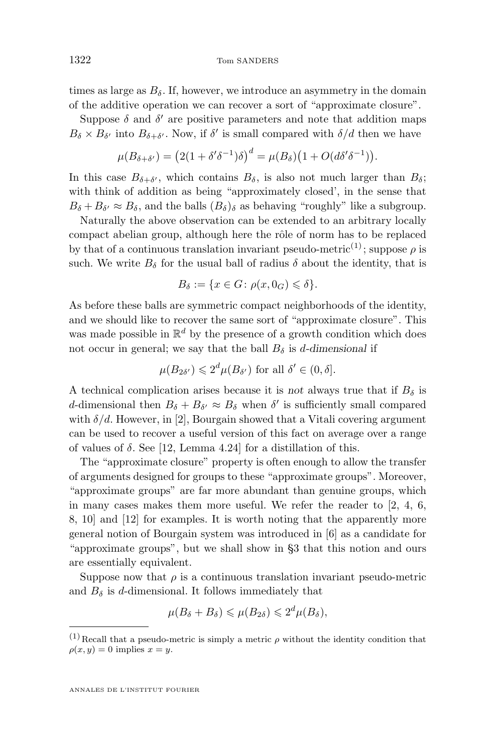times as large as  $B_{\delta}$ . If, however, we introduce an asymmetry in the domain of the additive operation we can recover a sort of "approximate closure".

Suppose  $\delta$  and  $\delta'$  are positive parameters and note that addition maps  $B_{\delta} \times B_{\delta'}$  into  $B_{\delta+\delta'}$ . Now, if  $\delta'$  is small compared with  $\delta/d$  then we have

$$
\mu(B_{\delta+\delta'}) = (2(1+\delta'\delta^{-1})\delta)^d = \mu(B_{\delta})\big(1+O(d\delta'\delta^{-1})\big).
$$

In this case  $B_{\delta+\delta'}$ , which contains  $B_{\delta}$ , is also not much larger than  $B_{\delta}$ ; with think of addition as being "approximately closed', in the sense that  $B_{\delta} + B_{\delta'} \approx B_{\delta}$ , and the balls  $(B_{\delta})_{\delta}$  as behaving "roughly" like a subgroup.

Naturally the above observation can be extended to an arbitrary locally compact abelian group, although here the rôle of norm has to be replaced by that of a continuous translation invariant pseudo-metric<sup>(1)</sup>; suppose  $\rho$  is such. We write  $B_{\delta}$  for the usual ball of radius  $\delta$  about the identity, that is

$$
B_{\delta} := \{ x \in G \colon \rho(x, 0_G) \leqslant \delta \}.
$$

As before these balls are symmetric compact neighborhoods of the identity, and we should like to recover the same sort of "approximate closure". This was made possible in  $\mathbb{R}^d$  by the presence of a growth condition which does not occur in general; we say that the ball  $B_{\delta}$  is *d*-dimensional if

$$
\mu(B_{2\delta'}) \leq 2^d \mu(B_{\delta'})
$$
 for all  $\delta' \in (0, \delta]$ .

A technical complication arises because it is *not* always true that if  $B_{\delta}$  is d-dimensional then  $B_{\delta} + B_{\delta'} \approx B_{\delta}$  when  $\delta'$  is sufficiently small compared with  $\delta/d$ . However, in [\[2\]](#page-15-0), Bourgain showed that a Vitali covering argument can be used to recover a useful version of this fact on average over a range of values of  $\delta$ . See [\[12,](#page-15-0) Lemma 4.24] for a distillation of this.

The "approximate closure" property is often enough to allow the transfer of arguments designed for groups to these "approximate groups". Moreover, "approximate groups" are far more abundant than genuine groups, which in many cases makes them more useful. We refer the reader to [\[2,](#page-15-0) [4,](#page-15-0) [6,](#page-15-0) [8,](#page-15-0) [10\]](#page-15-0) and [\[12\]](#page-15-0) for examples. It is worth noting that the apparently more general notion of Bourgain system was introduced in [\[6\]](#page-15-0) as a candidate for "approximate groups", but we shall show in [§3](#page-6-0) that this notion and ours are essentially equivalent.

Suppose now that  $\rho$  is a continuous translation invariant pseudo-metric and  $B_{\delta}$  is d-dimensional. It follows immediately that

$$
\mu(B_{\delta}+B_{\delta})\leqslant\mu(B_{2\delta})\leqslant 2^d\mu(B_{\delta}),
$$

 $(1)$  Recall that a pseudo-metric is simply a metric  $\rho$  without the identity condition that  $\rho(x, y) = 0$  implies  $x = y$ .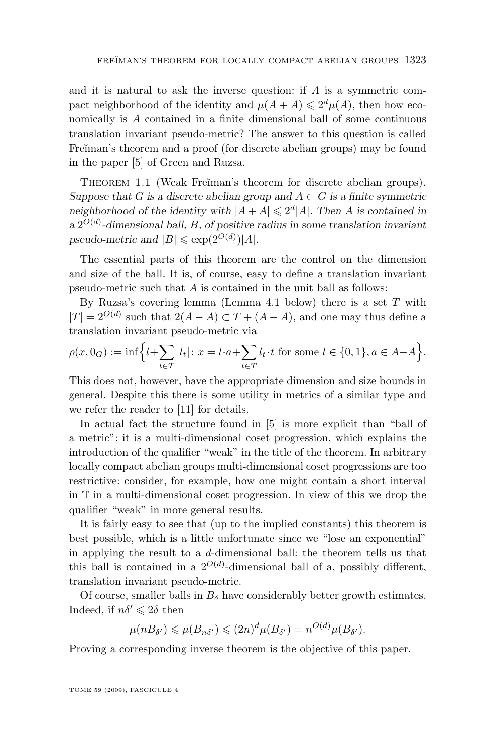<span id="page-3-0"></span>and it is natural to ask the inverse question: if  $A$  is a symmetric compact neighborhood of the identity and  $\mu(A + A) \leq 2^d \mu(A)$ , then how economically is A contained in a finite dimensional ball of some continuous translation invariant pseudo-metric? The answer to this question is called Fre $\check{\mathbf{r}}$  man's theorem and a proof (for discrete abelian groups) may be found in the paper [\[5\]](#page-15-0) of Green and Ruzsa.

THEOREM 1.1 (Weak Freĭman's theorem for discrete abelian groups). *Suppose that* G *is a discrete abelian group and*  $A \subset G$  *is a finite symmetric* neighborhood of the identity with  $|A + A| \leq 2^d |A|$ . Then A is contained in *a* 2 O(d) *-dimensional ball,* B*, of positive radius in some translation invariant*  $pseudo\text{-}metric$  and  $|B| \leqslant \exp(2^{O(d)})|A|$ .

The essential parts of this theorem are the control on the dimension and size of the ball. It is, of course, easy to define a translation invariant pseudo-metric such that A is contained in the unit ball as follows:

By Ruzsa's covering lemma (Lemma [4.1](#page-8-0) below) there is a set  $T$  with  $|T| = 2^{O(d)}$  such that  $2(A - A) \subset T + (A - A)$ , and one may thus define a translation invariant pseudo-metric via

$$
\rho(x, 0_G) := \inf \Big\{ l + \sum_{t \in T} |l_t| \colon x = l \cdot a + \sum_{t \in T} l_t \cdot t \text{ for some } l \in \{0, 1\}, a \in A - A \Big\}.
$$

This does not, however, have the appropriate dimension and size bounds in general. Despite this there is some utility in metrics of a similar type and we refer the reader to [\[11\]](#page-15-0) for details.

In actual fact the structure found in [\[5\]](#page-15-0) is more explicit than "ball of a metric": it is a multi-dimensional coset progression, which explains the introduction of the qualifier "weak" in the title of the theorem. In arbitrary locally compact abelian groups multi-dimensional coset progressions are too restrictive: consider, for example, how one might contain a short interval in T in a multi-dimensional coset progression. In view of this we drop the qualifier "weak" in more general results.

It is fairly easy to see that (up to the implied constants) this theorem is best possible, which is a little unfortunate since we "lose an exponential" in applying the result to a d-dimensional ball: the theorem tells us that this ball is contained in a  $2^{O(d)}$ -dimensional ball of a, possibly different, translation invariant pseudo-metric.

Of course, smaller balls in  $B_{\delta}$  have considerably better growth estimates. Indeed, if  $n\delta' \leq 2\delta$  then

$$
\mu(nB_{\delta'}) \leqslant \mu(B_{n\delta'}) \leqslant (2n)^d \mu(B_{\delta'}) = n^{O(d)} \mu(B_{\delta'}).
$$

Proving a corresponding inverse theorem is the objective of this paper.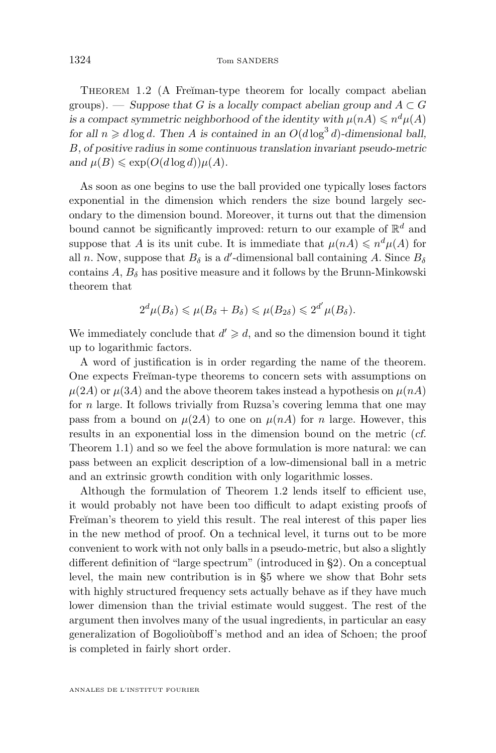THEOREM 1.2 (A Freiman-type theorem for locally compact abelian groups). — *Suppose that* G is a locally compact abelian group and  $A \subset G$ *is a compact symmetric neighborhood of the identity with*  $\mu(nA) \leq n^d \mu(A)$ *for all*  $n \ge d \log d$ . Then A *is contained in an*  $O(d \log^3 d)$ -dimensional ball, B*, of positive radius in some continuous translation invariant pseudo-metric and*  $\mu(B) \leq \exp(O(d \log d)) \mu(A)$ *.* 

As soon as one begins to use the ball provided one typically loses factors exponential in the dimension which renders the size bound largely secondary to the dimension bound. Moreover, it turns out that the dimension bound cannot be significantly improved: return to our example of  $\mathbb{R}^d$  and suppose that A is its unit cube. It is immediate that  $\mu(nA) \leqslant n^d \mu(A)$  for all n. Now, suppose that  $B_{\delta}$  is a d'-dimensional ball containing A. Since  $B_{\delta}$ contains  $A, B_\delta$  has positive measure and it follows by the Brunn-Minkowski theorem that

$$
2^d \mu(B_\delta) \leqslant \mu(B_\delta + B_\delta) \leqslant \mu(B_{2\delta}) \leqslant 2^{d'} \mu(B_\delta).
$$

We immediately conclude that  $d' \ge d$ , and so the dimension bound it tight up to logarithmic factors.

A word of justification is in order regarding the name of the theorem. One expects Freĭman-type theorems to concern sets with assumptions on  $\mu(2A)$  or  $\mu(3A)$  and the above theorem takes instead a hypothesis on  $\mu(nA)$ for  $n$  large. It follows trivially from Ruzsa's covering lemma that one may pass from a bound on  $\mu(2A)$  to one on  $\mu(nA)$  for n large. However, this results in an exponential loss in the dimension bound on the metric (*cf.* Theorem [1.1\)](#page-3-0) and so we feel the above formulation is more natural: we can pass between an explicit description of a low-dimensional ball in a metric and an extrinsic growth condition with only logarithmic losses.

Although the formulation of Theorem [1.2](#page-3-0) lends itself to efficient use, it would probably not have been too difficult to adapt existing proofs of Freĭman's theorem to yield this result. The real interest of this paper lies in the new method of proof. On a technical level, it turns out to be more convenient to work with not only balls in a pseudo-metric, but also a slightly different definition of "large spectrum" (introduced in [§2\)](#page-5-0). On a conceptual level, the main new contribution is in [§5](#page-9-0) where we show that Bohr sets with highly structured frequency sets actually behave as if they have much lower dimension than the trivial estimate would suggest. The rest of the argument then involves many of the usual ingredients, in particular an easy generalization of Bogolioùboff's method and an idea of Schoen; the proof is completed in fairly short order.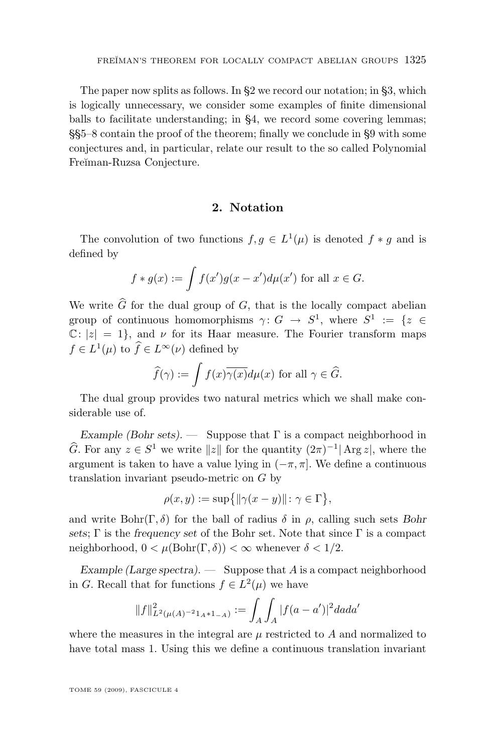<span id="page-5-0"></span>The paper now splits as follows. In §2 we record our notation; in [§3,](#page-6-0) which is logically unnecessary, we consider some examples of finite dimensional balls to facilitate understanding; in [§4,](#page-8-0) we record some covering lemmas; §[§5–](#page-9-0)[8](#page-13-0) contain the proof of the theorem; finally we conclude in [§9](#page-14-0) with some conjectures and, in particular, relate our result to the so called Polynomial Freĭman-Ruzsa Conjecture.

#### **2. Notation**

The convolution of two functions  $f, g \in L^1(\mu)$  is denoted  $f * g$  and is defined by

$$
f * g(x) := \int f(x')g(x - x')d\mu(x') \text{ for all } x \in G.
$$

We write  $\widehat{G}$  for the dual group of G, that is the locally compact abelian group of continuous homomorphisms  $\gamma: G \to S^1$ , where  $S^1 := \{z \in$  $\mathbb{C}: |z| = 1$ , and  $\nu$  for its Haar measure. The Fourier transform maps  $f \in L^1(\mu)$  to  $\hat{f} \in L^{\infty}(\nu)$  defined by

$$
\widehat{f}(\gamma) := \int f(x)\overline{\gamma(x)}d\mu(x) \text{ for all } \gamma \in \widehat{G}.
$$

The dual group provides two natural metrics which we shall make considerable use of.

*Example (Bohr sets). —* Suppose that Γ is a compact neighborhood in  $\widehat{G}$ . For any  $z \in S^1$  we write  $||z||$  for the quantity  $(2\pi)^{-1}$  Arg  $z|$ , where the argument is taken to have a value lying in  $(-\pi, \pi]$ . We define a continuous translation invariant pseudo-metric on G by

$$
\rho(x, y) := \sup\{\|\gamma(x - y)\| \colon \gamma \in \Gamma\},\
$$

and write  $Bohr(\Gamma, \delta)$  for the ball of radius  $\delta$  in  $\rho$ , calling such sets *Bohr sets*; Γ is the *frequency set* of the Bohr set. Note that since Γ is a compact neighborhood,  $0 < \mu(\text{Bohr}(\Gamma, \delta)) < \infty$  whenever  $\delta < 1/2$ .

*Example (Large spectra).* — Suppose that A is a compact neighborhood in G. Recall that for functions  $f \in L^2(\mu)$  we have

$$
||f||_{L^{2}(\mu(A)^{-2}1_{A}*1_{-A})}^{2} := \int_{A} \int_{A} |f(a-a')|^{2} da da'
$$

where the measures in the integral are  $\mu$  restricted to A and normalized to have total mass 1. Using this we define a continuous translation invariant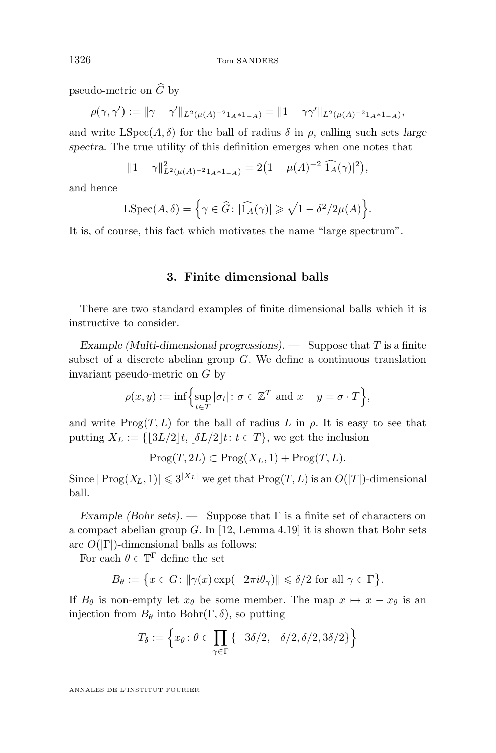pseudo-metric on  $\widehat{G}$  by

$$
\rho(\gamma, \gamma') := \|\gamma - \gamma'\|_{L^2(\mu(A)^{-2}1_A * 1_{-A})} = \|1 - \gamma \overline{\gamma'}\|_{L^2(\mu(A)^{-2}1_A * 1_{-A})},
$$

and write  $LSpec(A, \delta)$  for the ball of radius  $\delta$  in  $\rho$ , calling such sets *large spectra*. The true utility of this definition emerges when one notes that

$$
||1 - \gamma||_{L^2(\mu(A)^{-2}1_A * 1_{-A})}^2 = 2(1 - \mu(A)^{-2}|\widehat{1_A}(\gamma)|^2),
$$

and hence

LSpec
$$
(A, \delta)
$$
 = { $\gamma \in \widehat{G}: |\widehat{1_A}(\gamma)| \ge \sqrt{1 - \delta^2/2} \mu(A)$  }.

It is, of course, this fact which motivates the name "large spectrum".

#### **3. Finite dimensional balls**

There are two standard examples of finite dimensional balls which it is instructive to consider.

*Example (Multi-dimensional progressions). —* Suppose that T is a finite subset of a discrete abelian group  $G$ . We define a continuous translation invariant pseudo-metric on G by

$$
\rho(x, y) := \inf \Biggl\{ \sup_{t \in T} |\sigma_t| \colon \sigma \in \mathbb{Z}^T \text{ and } x - y = \sigma \cdot T \Biggr\},\
$$

and write  $\text{Prog}(T,L)$  for the ball of radius L in  $\rho$ . It is easy to see that putting  $X_L := \{ |3L/2|t, |\delta L/2|t: t \in T \}$ , we get the inclusion

 $\text{Prog}(T,2L) \subset \text{Prog}(X_L,1) + \text{Prog}(T,L).$ 

Since  $|\text{Prog}(X_L,1)| \leqslant 3^{|X_L|}$  we get that  $\text{Prog}(T,L)$  is an  $O(|T|)$ -dimensional ball.

*Example (Bohr sets). —* Suppose that Γ is a finite set of characters on a compact abelian group  $G$ . In [\[12,](#page-15-0) Lemma 4.19] it is shown that Bohr sets are  $O(|\Gamma|)$ -dimensional balls as follows:

For each  $\theta \in \mathbb{T}^{\Gamma}$  define the set

$$
B_\theta:=\big\{x\in G\colon \|\gamma(x)\exp(-2\pi i\theta_\gamma)\|\leqslant \delta/2\text{ for all }\gamma\in\Gamma\big\}.
$$

If  $B_{\theta}$  is non-empty let  $x_{\theta}$  be some member. The map  $x \mapsto x - x_{\theta}$  is an injection from  $B_{\theta}$  into Bohr(Γ, δ), so putting

$$
T_{\delta} := \left\{ x_{\theta} \colon \theta \in \prod_{\gamma \in \Gamma} \{-3\delta/2, -\delta/2, \delta/2, 3\delta/2\} \right\}
$$

ANNALES DE L'INSTITUT FOURIER

<span id="page-6-0"></span>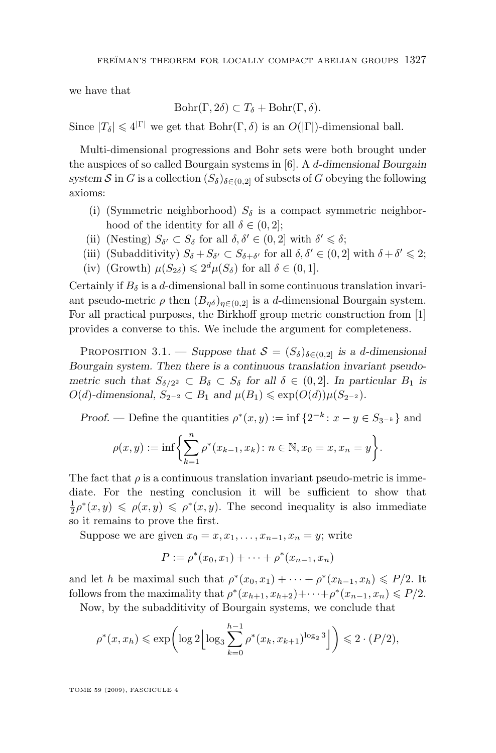we have that

$$
Bohr(\Gamma, 2\delta) \subset T_{\delta} + Bohr(\Gamma, \delta).
$$

Since  $|T_{\delta}| \leq 4^{|\Gamma|}$  we get that  $Bohr(\Gamma, \delta)$  is an  $O(|\Gamma|)$ -dimensional ball.

Multi-dimensional progressions and Bohr sets were both brought under the auspices of so called Bourgain systems in [\[6\]](#page-15-0). A d*-dimensional Bourgain* system S in G is a collection  $(S_{\delta})_{\delta \in (0,2]}$  of subsets of G obeying the following axioms:

- (i) (Symmetric neighborhood)  $S_{\delta}$  is a compact symmetric neighborhood of the identity for all  $\delta \in (0, 2]$ ;
- (ii) (Nesting)  $S_{\delta'} \subset S_{\delta}$  for all  $\delta, \delta' \in (0, 2]$  with  $\delta' \leq \delta$ ;
- (iii) (Subadditivity)  $S_{\delta} + S_{\delta'} \subset S_{\delta + \delta'}$  for all  $\delta, \delta' \in (0, 2]$  with  $\delta + \delta' \leq 2$ ;
- (iv) (Growth)  $\mu(S_{2\delta}) \leq 2^d \mu(S_{\delta})$  for all  $\delta \in (0,1]$ .

Certainly if  $B_\delta$  is a d-dimensional ball in some continuous translation invariant pseudo-metric  $\rho$  then  $(B_{\eta\delta})_{\eta\in(0,2]}$  is a d-dimensional Bourgain system. For all practical purposes, the Birkhoff group metric construction from [\[1\]](#page-15-0) provides a converse to this. We include the argument for completeness.

PROPOSITION 3.1. — *Suppose that*  $S = (S_\delta)_{\delta \in (0,2]}$  *is a d-dimensional Bourgain system. Then there is a continuous translation invariant pseudometric such that*  $S_{\delta/2^2} \subset B_{\delta} \subset S_{\delta}$  *for all*  $\delta \in (0,2]$ *. In particular*  $B_1$  *is*  $O(d)$ -dimensional,  $S_{2^{-2}} \subset B_1$  and  $\mu(B_1) \leq \exp(O(d)) \mu(S_{2^{-2}})$ .

*Proof.* — Define the quantities  $\rho^*(x, y) := \inf \{2^{-k} : x - y \in S_{3^{-k}}\}\$ and

$$
\rho(x,y) := \inf \biggl\{ \sum_{k=1}^n \rho^*(x_{k-1}, x_k) : n \in \mathbb{N}, x_0 = x, x_n = y \biggr\}.
$$

The fact that  $\rho$  is a continuous translation invariant pseudo-metric is immediate. For the nesting conclusion it will be sufficient to show that  $\frac{1}{2}\rho^*(x,y) \leq \rho(x,y) \leq \rho^*(x,y)$ . The second inequality is also immediate so it remains to prove the first.

Suppose we are given  $x_0 = x, x_1, \ldots, x_{n-1}, x_n = y$ ; write

$$
P := \rho^*(x_0, x_1) + \dots + \rho^*(x_{n-1}, x_n)
$$

and let h be maximal such that  $\rho^*(x_0, x_1) + \cdots + \rho^*(x_{h-1}, x_h) \leq P/2$ . It follows from the maximality that  $\rho^*(x_{h+1}, x_{h+2}) + \cdots + \rho^*(x_{n-1}, x_n) \leq P/2$ .

Now, by the subadditivity of Bourgain systems, we conclude that

$$
\rho^*(x, x_h) \le \exp\left(\log 2 \left\lfloor \log_3 \sum_{k=0}^{h-1} \rho^*(x_k, x_{k+1})^{\log_2 3} \right\rfloor\right) \le 2 \cdot (P/2),
$$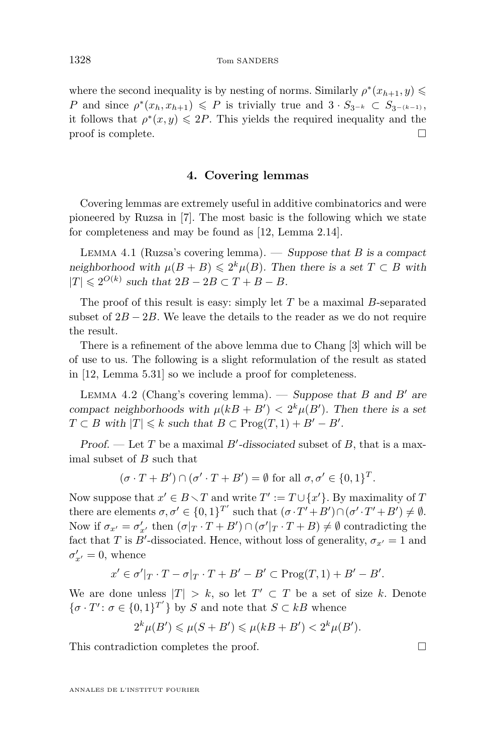<span id="page-8-0"></span>where the second inequality is by nesting of norms. Similarly  $\rho^*(x_{h+1}, y) \leq$ P and since  $\rho^*(x_h, x_{h+1}) \leq P$  is trivially true and  $3 \cdot S_{3^{-k}} \subset S_{3^{-(k-1)}},$ it follows that  $\rho^*(x, y) \leq 2P$ . This yields the required inequality and the  $\Box$  proof is complete.  $\Box$ 

#### **4. Covering lemmas**

Covering lemmas are extremely useful in additive combinatorics and were pioneered by Ruzsa in [\[7\]](#page-15-0). The most basic is the following which we state for completeness and may be found as [\[12,](#page-15-0) Lemma 2.14].

Lemma 4.1 (Ruzsa's covering lemma). — *Suppose that* B *is a compact neighborhood with*  $\mu(B + B) \leq 2^k \mu(B)$ *. Then there is a set*  $T \subset B$  *with*  $|T| \leq 2^{O(k)}$  such that  $2B - 2B \subset T + B - B$ .

The proof of this result is easy: simply let  $T$  be a maximal  $B$ -separated subset of  $2B - 2B$ . We leave the details to the reader as we do not require the result.

There is a refinement of the above lemma due to Chang [\[3\]](#page-15-0) which will be of use to us. The following is a slight reformulation of the result as stated in [\[12,](#page-15-0) Lemma 5.31] so we include a proof for completeness.

LEMMA 4.2 (Chang's covering lemma). — *Suppose that* B and B<sup> $\prime$ </sup> are *compact neighborhoods with*  $\mu(kB + B') < 2^k \mu(B')$ . Then there is a set  $T \subset B$  with  $|T| \leq k$  such that  $B \subset \text{Prog}(T,1) + B' - B'$ .

*Proof.* — Let T be a maximal  $B'$ -dissociated subset of B, that is a maximal subset of B such that

$$
(\sigma \cdot T + B') \cap (\sigma' \cdot T + B') = \emptyset \text{ for all } \sigma, \sigma' \in \{0, 1\}^T.
$$

Now suppose that  $x' \in B \setminus T$  and write  $T' := T \cup \{x'\}$ . By maximality of T there are elements  $\sigma, \sigma' \in \{0, 1\}^{T'}$  such that  $(\sigma \cdot T' + B') \cap (\sigma' \cdot T' + B') \neq \emptyset$ . Now if  $\sigma_{x'} = \sigma'_{x'}$  then  $(\sigma|_T \cdot T + B') \cap (\sigma'|_T \cdot T + B) \neq \emptyset$  contradicting the fact that T is B'-dissociated. Hence, without loss of generality,  $\sigma_{x'} = 1$  and  $\sigma'_{x'} = 0$ , whence

$$
x' \in \sigma'|_T \cdot T - \sigma|_T \cdot T + B' - B' \subset \text{Prog}(T,1) + B' - B'.
$$

We are done unless  $|T| > k$ , so let  $T' \subset T$  be a set of size k. Denote  $\{\sigma \cdot T' : \sigma \in \{0,1\}^{T'}\}$  by S and note that  $S \subset kB$  whence

$$
2^k \mu(B') \leq \mu(S + B') \leq \mu(kB + B') < 2^k \mu(B').
$$

This contradiction completes the proof.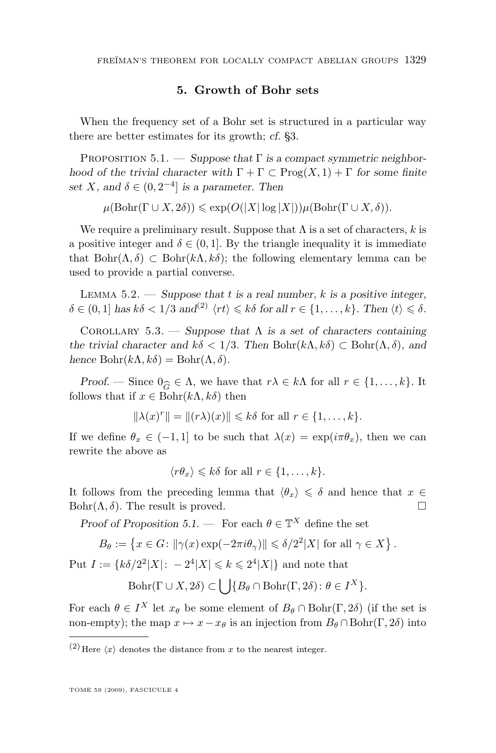#### **5. Growth of Bohr sets**

<span id="page-9-0"></span>When the frequency set of a Bohr set is structured in a particular way there are better estimates for its growth; *cf.* [§3.](#page-6-0)

Proposition 5.1. — *Suppose that* Γ *is a compact symmetric neighborhood of the trivial character with*  $\Gamma + \Gamma \subset \text{Prog}(X,1) + \Gamma$  *for some finite* set *X*, and  $\delta \in (0, 2^{-4}]$  *is a parameter. Then* 

 $\mu(\text{Bohr}(\Gamma \cup X, 2\delta)) \leq \exp(O(|X| \log |X|)) \mu(\text{Bohr}(\Gamma \cup X, \delta)).$ 

We require a preliminary result. Suppose that  $\Lambda$  is a set of characters, k is a positive integer and  $\delta \in (0, 1]$ . By the triangle inequality it is immediate that  $Bohr(\Lambda, \delta) \subset Bohr(k\Lambda, k\delta)$ ; the following elementary lemma can be used to provide a partial converse.

Lemma 5.2. — *Suppose that* t *is a real number,* k *is a positive integer,*  $\delta \in (0,1]$  *has*  $k\delta < 1/3$  *and*<sup>(2)</sup>  $\langle rt \rangle \leq k\delta$  *for all*  $r \in \{1,\ldots,k\}$ *. Then*  $\langle t \rangle \leq \delta$ *.* 

Corollary 5.3. — *Suppose that* Λ *is a set of characters containing the trivial character and*  $k\delta < 1/3$ *. Then* Bohr $(k\Lambda, k\delta) \subset$  Bohr $(\Lambda, \delta)$ *, and hence*  $Bohr(k\Lambda, k\delta) = Bohr(\Lambda, \delta)$ .

*Proof.* — Since  $0_{\widehat{G}} \in \Lambda$ , we have that  $r\lambda \in k\Lambda$  for all  $r \in \{1, ..., k\}$ . It lows that if  $x \in \text{Bohr}(k\Lambda, k\delta)$  then follows that if  $x \in \text{Bohr}(k\Lambda, k\delta)$  then

$$
\|\lambda(x)^r\| = \|(r\lambda)(x)\| \leq k\delta \text{ for all } r \in \{1, \ldots, k\}.
$$

If we define  $\theta_x \in (-1,1]$  to be such that  $\lambda(x) = \exp(i\pi \theta_x)$ , then we can rewrite the above as

$$
\langle r\theta_x \rangle \leq k\delta
$$
 for all  $r \in \{1, ..., k\}.$ 

It follows from the preceding lemma that  $\langle \theta_x \rangle \leq \delta$  and hence that  $x \in$ Bohr( $\Lambda$ ,  $\delta$ ). The result is proved.

*Proof of Proposition* 5.1. — For each  $\theta \in \mathbb{T}^X$  define the set

$$
B_{\theta} := \left\{ x \in G \colon \|\gamma(x) \exp(-2\pi i \theta_{\gamma})\| \leq \delta/2^2 |X| \text{ for all } \gamma \in X \right\}.
$$

Put  $I := \{ k \delta / 2^2 |X| : -2^4 |X| \leq k \leq 2^4 |X| \}$  and note that

$$
Bohr(\Gamma \cup X, 2\delta) \subset \bigcup \{B_{\theta} \cap Bohr(\Gamma, 2\delta) \colon \theta \in I^X\}.
$$

For each  $\theta \in I^X$  let  $x_{\theta}$  be some element of  $B_{\theta} \cap \text{Bohr}(\Gamma, 2\delta)$  (if the set is non-empty); the map  $x \mapsto x - x_{\theta}$  is an injection from  $B_{\theta} \cap \text{Bohr}(\Gamma, 2\delta)$  into

<sup>(2)</sup> Here  $\langle x \rangle$  denotes the distance from x to the nearest integer.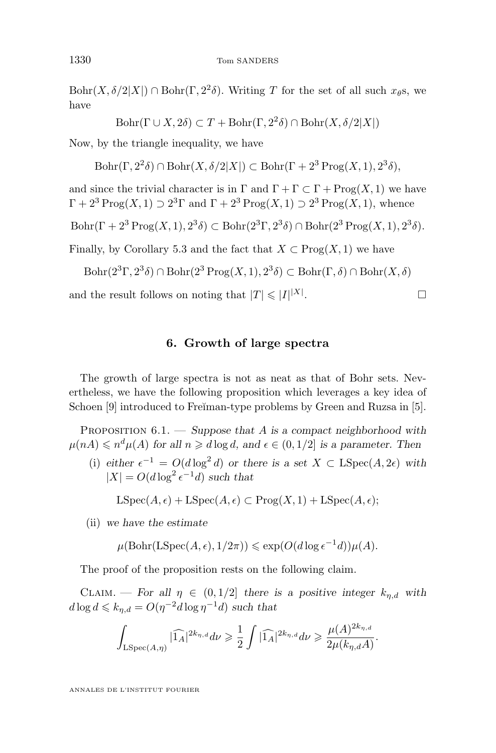<span id="page-10-0"></span> $Bohr(X, \delta/2|X|) \cap Bohr(\Gamma, 2^2\delta)$ . Writing T for the set of all such  $x_{\theta}s$ , we have

$$
Bohr(\Gamma \cup X, 2\delta) \subset T + Bohr(\Gamma, 2^2 \delta) \cap Bohr(X, \delta/2|X|)
$$

Now, by the triangle inequality, we have

 $\text{Bohr}(\Gamma, 2^2\delta) \cap \text{Bohr}(X, \delta/2|X|) \subset \text{Bohr}(\Gamma + 2^3 \text{Prog}(X, 1), 2^3\delta),$ 

and since the trivial character is in  $\Gamma$  and  $\Gamma + \Gamma \subset \Gamma + \text{Prog}(X,1)$  we have  $\Gamma + 2^3 \operatorname{Prog}(X,1) \supset 2^3 \Gamma$  and  $\Gamma + 2^3 \operatorname{Prog}(X,1) \supset 2^3 \operatorname{Prog}(X,1)$ , whence

$$
\operatorname{Bohr}(\Gamma + 2^3 \operatorname{Prog}(X, 1), 2^3 \delta) \subset \operatorname{Bohr}(2^3 \Gamma, 2^3 \delta) \cap \operatorname{Bohr}(2^3 \operatorname{Prog}(X, 1), 2^3 \delta).
$$

Finally, by Corollary [5.3](#page-9-0) and the fact that  $X \subset \text{Prog}(X,1)$  we have

$$
\text{Bohr}(2^3\Gamma, 2^3\delta) \cap \text{Bohr}(2^3\operatorname{Prog}(X, 1), 2^3\delta) \subset \text{Bohr}(\Gamma, \delta) \cap \text{Bohr}(X, \delta)
$$

and the result follows on noting that  $|T| \leq |I|^{|X|}$ . — Процессиональные производствование и продата в собстании в собстании в собстании в собстании в собстании в<br>В собстании в собстании в собстании в собстании в собстании в собстании в собстании в собстании в собстании в

#### **6. Growth of large spectra**

The growth of large spectra is not as neat as that of Bohr sets. Nevertheless, we have the following proposition which leverages a key idea of Schoen [\[9\]](#page-15-0) introduced to Freĭman-type problems by Green and Ruzsa in [\[5\]](#page-15-0).

Proposition 6.1. — *Suppose that* A *is a compact neighborhood with*  $\mu(nA) \leqslant n^d \mu(A)$  for all  $n \geqslant d \log d$ , and  $\epsilon \in (0, 1/2]$  is a parameter. Then

(i)  $\text{either } \epsilon^{-1} = O(d \log^2 d) \text{ or there is a set } X \subset \text{LSpec}(A, 2\epsilon) \text{ with }$  $|X| = O(d \log^2 \epsilon^{-1} d)$  *such that* 

 $LSpec(A, \epsilon) + LSpec(A, \epsilon) \subset Prog(X, 1) + LSpec(A, \epsilon);$ 

(ii) *we have the estimate*

$$
\mu(\text{Bohr}(\text{LSpec}(A,\epsilon),1/2\pi)) \leqslant \exp(O(d\log \epsilon^{-1}d))\mu(A).
$$

The proof of the proposition rests on the following claim.

CLAIM. — For all  $\eta \in (0, 1/2]$  there is a positive integer  $k_{\eta,d}$  with  $d \log d \leqslant k_{\eta,d} = O(\eta^{-2}d \log \eta^{-1}d)$  *such that* 

$$
\int_{\mathrm{LSpec}(A,\eta)}|\widehat{\mathbf{1}_A}|^{2k_{\eta,d}}d\nu\geqslant \frac{1}{2}\int|\widehat{\mathbf{1}_A}|^{2k_{\eta,d}}d\nu\geqslant \frac{\mu(A)^{2k_{\eta,d}}}{2\mu(k_{\eta,d}A)}.
$$

ANNALES DE L'INSTITUT FOURIER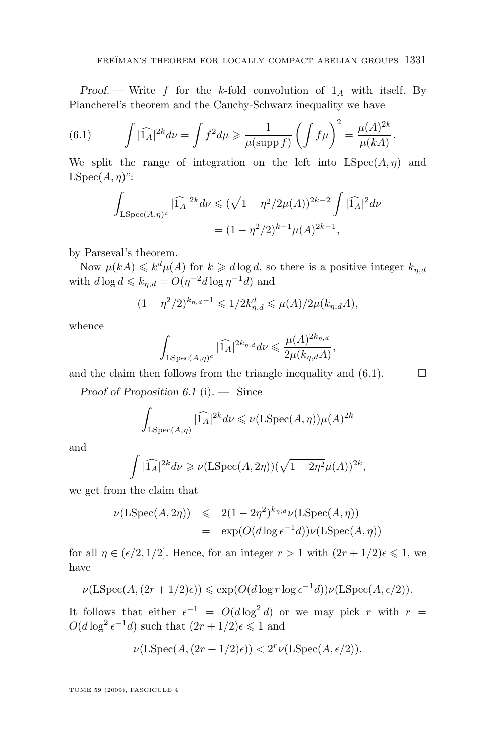*Proof.* — Write f for the k-fold convolution of  $1_A$  with itself. By Plancherel's theorem and the Cauchy-Schwarz inequality we have

(6.1) 
$$
\int |\widehat{1_A}|^{2k} d\nu = \int f^2 d\mu \ge \frac{1}{\mu(\text{supp } f)} \left( \int f \mu \right)^2 = \frac{\mu(A)^{2k}}{\mu(kA)}.
$$

We split the range of integration on the left into  $LSpec(A, \eta)$  and  $LSpec(A, \eta)^c$ :

$$
\int_{\text{LSpec}(A,\eta)^c} |\widehat{1_A}|^{2k} d\nu \le (\sqrt{1-\eta^2/2})\mu(A)^{2k-2} \int |\widehat{1_A}|^2 d\nu
$$
  
=  $(1-\eta^2/2)^{k-1} \mu(A)^{2k-1},$ 

by Parseval's theorem.

Now  $\mu(kA) \leq k^d \mu(A)$  for  $k \geq d \log d$ , so there is a positive integer  $k_{\eta,d}$ with  $d \log d \leqslant k_{\eta,d} = O(\eta^{-2}d \log \eta^{-1}d)$  and

$$
(1 - \eta^2/2)^{k_{\eta,d} - 1} \leq 1/2k_{\eta,d}^d \leq \mu(A)/2\mu(k_{\eta,d}A),
$$

whence

$$
\int_{\mathrm{LSpec}(A,\eta)^c} |\widehat{1_A}|^{2k_{\eta,d}} d\nu \leqslant \frac{\mu(A)^{2k_{\eta,d}}}{2\mu(k_{\eta,d}A)},
$$

and the claim then follows from the triangle inequality and  $(6.1)$ .  $\Box$ 

*Proof of Proposition [6.1](#page-10-0)* [\(i\)](#page-10-0)*. —* Since

$$
\int_{\mathrm{LSpec}(A,\eta)} |\widehat{\mathbf{1}_A}|^{2k} d\nu \leqslant \nu(\mathrm{LSpec}(A,\eta))\mu(A)^{2k}
$$

and

$$
\int |\widehat{1_A}|^{2k} d\nu \geqslant \nu(\operatorname{LSpec}(A, 2\eta))(\sqrt{1-2\eta^2}\mu(A))^{2k},
$$

we get from the claim that

$$
\nu(\text{LSpec}(A, 2\eta)) \leqslant 2(1 - 2\eta^2)^{k_{\eta, d}} \nu(\text{LSpec}(A, \eta))
$$
  
= 
$$
\exp(O(d \log \epsilon^{-1} d)) \nu(\text{LSpec}(A, \eta))
$$

for all  $\eta \in (\epsilon/2, 1/2]$ . Hence, for an integer  $r > 1$  with  $(2r + 1/2)\epsilon \leq 1$ , we have

$$
\nu(\text{LSpec}(A, (2r + 1/2)\epsilon)) \le \exp(O(d \log r \log \epsilon^{-1} d)) \nu(\text{LSpec}(A, \epsilon/2)).
$$

It follows that either  $\epsilon^{-1} = O(d \log^2 d)$  or we may pick r with  $r =$  $O(d \log^2 \epsilon^{-1} d)$  such that  $(2r + 1/2) \epsilon \leq 1$  and

$$
\nu(\text{LSpec}(A, (2r+1/2)\epsilon)) < 2^r \nu(\text{LSpec}(A, \epsilon/2)).
$$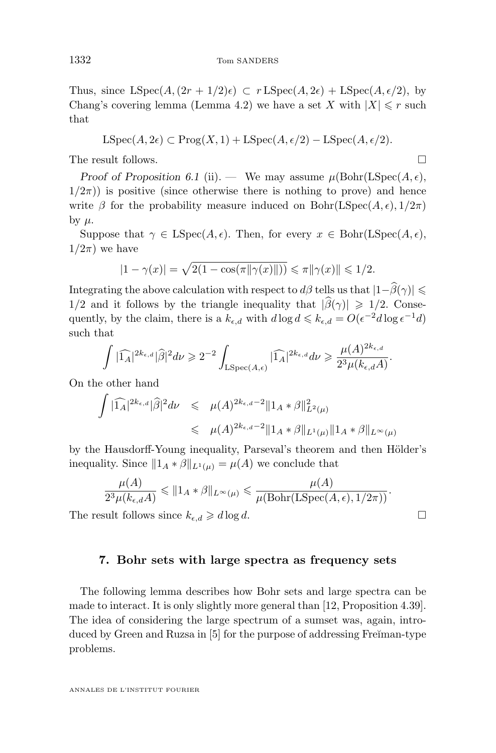<span id="page-12-0"></span>Thus, since  $LSpec(A,(2r+1/2)\epsilon) \subset rLSpec(A,2\epsilon) + LSpec(A,\epsilon/2)$ , by Chang's covering lemma (Lemma [4.2\)](#page-8-0) we have a set X with  $|X| \leq r$  such that

$$
LSpec(A, 2\epsilon) \subset Prog(X, 1) + LSpec(A, \epsilon/2) - LSpec(A, \epsilon/2).
$$

The result follows.

*Proof of Proposition* [6.1](#page-10-0) [\(ii\)](#page-10-0). — We may assume  $\mu(\text{Bohr}(\text{LSpec}(A, \epsilon)),$  $1/2\pi$ ) is positive (since otherwise there is nothing to prove) and hence write  $\beta$  for the probability measure induced on Bohr(LSpec(A,  $\epsilon$ ),  $1/2\pi$ ) by  $\mu$ .

Suppose that  $\gamma \in \mathrm{LSpec}(A, \epsilon)$ . Then, for every  $x \in \mathrm{Bohr}(\mathrm{LSpec}(A, \epsilon))$ ,  $1/2\pi$ ) we have

$$
|1 - \gamma(x)| = \sqrt{2(1 - \cos(\pi || \gamma(x) ||))} \le \pi || \gamma(x) || \le 1/2.
$$

Integrating the above calculation with respect to  $d\beta$  tells us that  $|1-\hat{\beta}(\gamma)| \le$  $1/2$  and it follows by the triangle inequality that  $|\widehat{\beta}(\gamma)| \geq 1/2$ . Consequently, by the claim, there is a  $k_{\epsilon,d}$  with  $d \log d \leqslant k_{\epsilon,d} = O(\epsilon^{-2}d \log \epsilon^{-1}d)$ such that

$$
\int |\widehat{1_A}|^{2k_{\epsilon,d}} |\widehat{\beta}|^2 d\nu \geqslant 2^{-2} \int_{\mathrm{LSpec}(A,\epsilon)} |\widehat{1_A}|^{2k_{\epsilon,d}} d\nu \geqslant \frac{\mu(A)^{2k_{\epsilon,d}}}{2^3 \mu(k_{\epsilon,d}A)}
$$

.

On the other hand

$$
\int |\widehat{1_A}|^{2k_{\epsilon,d}} |\widehat{\beta}|^2 d\nu \leq \mu(A)^{2k_{\epsilon,d}-2} \|1_A * \beta\|_{L^2(\mu)}^2
$$
  

$$
\leq \mu(A)^{2k_{\epsilon,d}-2} \|1_A * \beta\|_{L^1(\mu)} \|1_A * \beta\|_{L^\infty(\mu)}
$$

by the Hausdorff-Young inequality, Parseval's theorem and then Hölder's inequality. Since  $||1_A * \beta||_{L^1(\mu)} = \mu(A)$  we conclude that

$$
\frac{\mu(A)}{2^3 \mu(k_{\epsilon,d}A)} \leq 2^4 \mu(k_{\epsilon,d}A) \leq 2^4 \mu(\text{Bohr}(L\text{Spec}(A,\epsilon),1/2\pi))
$$

The result follows since  $k_{\epsilon,d} \geq d \log d$ .

#### **7. Bohr sets with large spectra as frequency sets**

The following lemma describes how Bohr sets and large spectra can be made to interact. It is only slightly more general than [\[12,](#page-15-0) Proposition 4.39]. The idea of considering the large spectrum of a sumset was, again, intro-duced by Green and Ruzsa in [\[5\]](#page-15-0) for the purpose of addressing Fre $\overline{a}$  man-type problems.

ANNALES DE L'INSTITUT FOURIER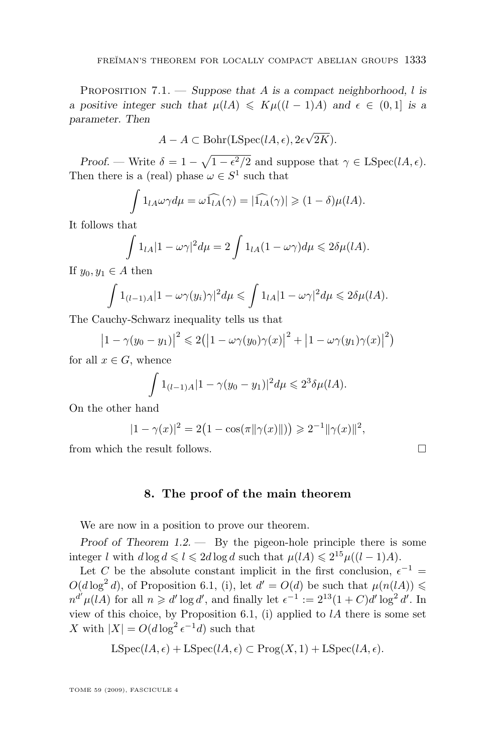<span id="page-13-0"></span>Proposition 7.1. — *Suppose that* A *is a compact neighborhood,* l *is a positive integer such that*  $\mu(lA) \leq K\mu((l-1)A)$  *and*  $\epsilon \in (0,1]$  *is a parameter. Then*

$$
A - A \subset \text{Bohr}(\text{LSpec}(lA, \epsilon), 2\epsilon\sqrt{2K}).
$$

*Proof.* — Write  $\delta = 1 - \sqrt{1 - \epsilon^2/2}$  and suppose that  $\gamma \in \text{LSpec}(lA, \epsilon)$ . Then there is a (real) phase  $\omega \in S^1$  such that

$$
\int 1_{lA}\omega\gamma d\mu = \omega \widehat{1_{lA}}(\gamma) = |\widehat{1_{lA}}(\gamma)| \geq (1 - \delta)\mu(lA).
$$

It follows that

$$
\int 1_{lA} |1 - \omega \gamma|^2 d\mu = 2 \int 1_{lA} (1 - \omega \gamma) d\mu \leq 2 \delta \mu (lA).
$$

If  $y_0, y_1 \in A$  then

$$
\int 1_{(l-1)A}|1-\omega\gamma(y_i)\gamma|^2d\mu \leq \int 1_{lA}|1-\omega\gamma|^2d\mu \leq 2\delta\mu(lA).
$$

The Cauchy-Schwarz inequality tells us that

$$
\left|1-\gamma(y_0-y_1)\right|^2 \leq 2\left(\left|1-\omega\gamma(y_0)\gamma(x)\right|^2+\left|1-\omega\gamma(y_1)\gamma(x)\right|^2\right)
$$

for all  $x \in G$ , whence

$$
\int 1_{(l-1)A} |1 - \gamma(y_0 - y_1)|^2 d\mu \leq 2^3 \delta \mu(lA).
$$

On the other hand

$$
|1 - \gamma(x)|^2 = 2(1 - \cos(\pi ||\gamma(x)||)) \ge 2^{-1} ||\gamma(x)||^2,
$$

from which the result follows.  $\square$ 

#### **8. The proof of the main theorem**

We are now in a position to prove our theorem.

*Proof of Theorem [1.2.](#page-3-0) —* By the pigeon-hole principle there is some integer l with  $d \log d \leq l \leq 2d \log d$  such that  $\mu(lA) \leq 2^{15} \mu((l-1)A)$ .

Let C be the absolute constant implicit in the first conclusion,  $\epsilon^{-1}$  =  $O(d \log^2 d)$ , of Proposition [6.1,](#page-10-0) [\(i\)](#page-10-0), let  $d' = O(d)$  be such that  $\mu(n(lA)) \leq$  $n^{d'}\mu(lA)$  for all  $n \geq d' \log d'$ , and finally let  $\epsilon^{-1} := 2^{13}(1+C)d' \log^2 d'$ . In view of this choice, by Proposition [6.1,](#page-10-0) [\(i\)](#page-10-0) applied to  $lA$  there is some set X with  $|X| = O(d \log^2 e^{-1} d)$  such that

$$
LSpec(lA, \epsilon) + LSpec(lA, \epsilon) \subset Prog(X, 1) + LSpec(lA, \epsilon).
$$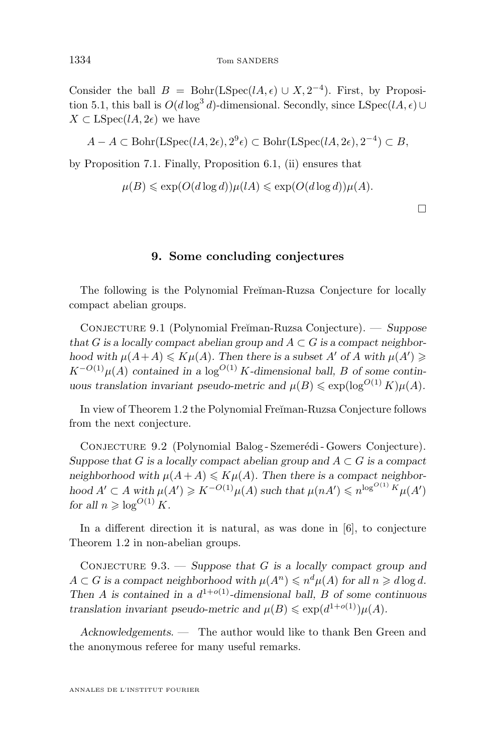<span id="page-14-0"></span>Consider the ball  $B = \text{Bohr}(\text{LSpec}(lA, \epsilon) \cup X, 2^{-4})$ . First, by Proposi-tion [5.1,](#page-9-0) this ball is  $O(d \log^3 d)$ -dimensional. Secondly, since LSpec $(lA, \epsilon) \cup$  $X \subset \text{LSpec}(lA, 2\epsilon)$  we have

$$
A - A \subset \text{Bohr}(\text{LSpec}(lA, 2\epsilon), 2^9 \epsilon) \subset \text{Bohr}(\text{LSpec}(lA, 2\epsilon), 2^{-4}) \subset B,
$$

by Proposition [7.1.](#page-12-0) Finally, Proposition [6.1,](#page-10-0) [\(ii\)](#page-10-0) ensures that

$$
\mu(B) \leqslant \exp(O(d \log d)) \mu(lA) \leqslant \exp(O(d \log d)) \mu(A).
$$

 $\Box$ 

#### **9. Some concluding conjectures**

The following is the Polynomial Freĭman-Ruzsa Conjecture for locally compact abelian groups.

Conjecture 9.1 (Polynomial Fre˘ıman-Ruzsa Conjecture). — *Suppose* that G is a locally compact abelian group and  $A \subset G$  is a compact neighbor*hood with*  $\mu(A+A) \leq K\mu(A)$ *. Then there is a subset* A' *of* A *with*  $\mu(A') \geq$  $K^{-O(1)} \mu(A)$  *contained in a* log<sup>*O*(1)</sup> K-dimensional ball, B of some contin*uous translation invariant pseudo-metric and*  $\mu(B) \leq \exp(\log^{O(1)} K) \mu(A)$ *.* 

In view of Theorem [1.2](#page-3-0) the Polynomial Freĭman-Ruzsa Conjecture follows from the next conjecture.

Conjecture 9.2 (Polynomial Balog - Szemerédi - Gowers Conjecture). *Suppose that*  $G$  *is a locally compact abelian group and*  $A \subset G$  *is a compact neighborhood with*  $\mu(A + A) \leq K\mu(A)$ . Then there is a compact neighbor $h$ ood  $A' \subset A$  *with*  $\mu(A') \geqslant K^{-O(1)} \mu(A)$  *such that*  $\mu(nA') \leqslant n^{\log^{O(1)}} K \mu(A')$ *for all*  $n \geq \log^{O(1)} K$ *.* 

In a different direction it is natural, as was done in [\[6\]](#page-15-0), to conjecture Theorem [1.2](#page-3-0) in non-abelian groups.

Conjecture 9.3. — *Suppose that* G *is a locally compact group and*  $A \subset G$  is a compact neighborhood with  $\mu(A^n) \leqslant n^d \mu(A)$  for all  $n \geqslant d \log d$ . *Then A* is contained in a  $d^{1+o(1)}$ -dimensional ball, *B* of some continuous *translation invariant pseudo-metric and*  $\mu(B) \leq \exp(d^{1+o(1)})\mu(A)$ *.* 

*Acknowledgements. —* The author would like to thank Ben Green and the anonymous referee for many useful remarks.